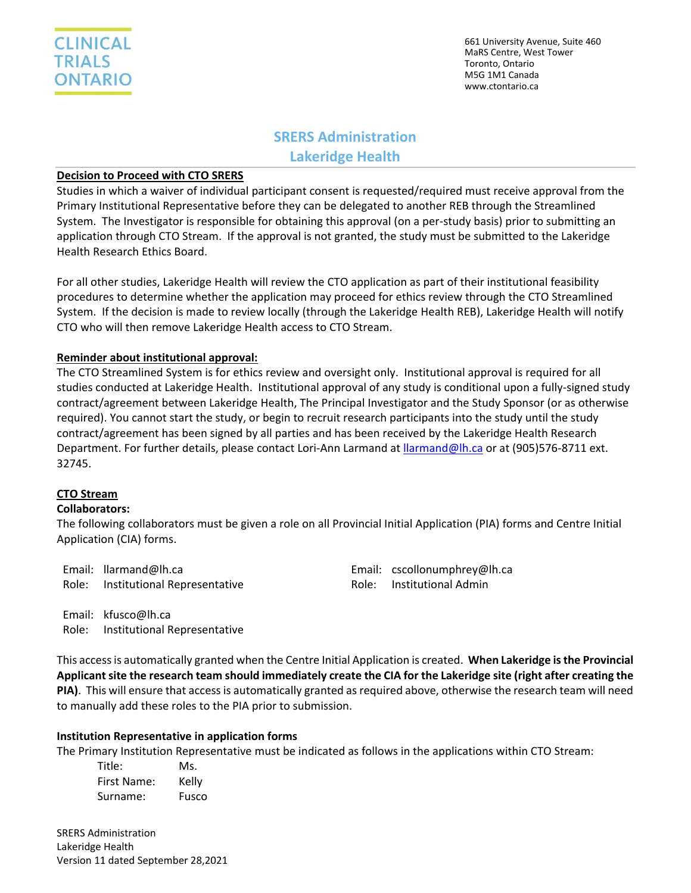

# **SRERS Administration**

**Lakeridge Health**

## **Decision to Proceed with CTO SRERS**

Studies in which a waiver of individual participant consent is requested/required must receive approval from the Primary Institutional Representative before they can be delegated to another REB through the Streamlined System. The Investigator is responsible for obtaining this approval (on a per-study basis) prior to submitting an application through CTO Stream. If the approval is not granted, the study must be submitted to the Lakeridge Health Research Ethics Board.

For all other studies, Lakeridge Health will review the CTO application as part of their institutional feasibility procedures to determine whether the application may proceed for ethics review through the CTO Streamlined System. If the decision is made to review locally (through the Lakeridge Health REB), Lakeridge Health will notify CTO who will then remove Lakeridge Health access to CTO Stream.

## **Reminder about institutional approval:**

The CTO Streamlined System is for ethics review and oversight only. Institutional approval is required for all studies conducted at Lakeridge Health. Institutional approval of any study is conditional upon a fully-signed study contract/agreement between Lakeridge Health, The Principal Investigator and the Study Sponsor (or as otherwise required). You cannot start the study, or begin to recruit research participants into the study until the study contract/agreement has been signed by all parties and has been received by the Lakeridge Health Research Department. For further details, please contact Lori-Ann Larmand at *llarmand@lh.ca* or at (905)576-8711 ext. 32745.

## **CTO Stream**

### **Collaborators:**

The following collaborators must be given a role on all Provincial Initial Application (PIA) forms and Centre Initial Application (CIA) forms.

| Email: llarmand@lh.ca              | Email: cscollonumphrey@lh.ca |
|------------------------------------|------------------------------|
| Role: Institutional Representative | Role: Institutional Admin    |

Email: kfusco@lh.ca Role: Institutional Representative

This access is automatically granted when the Centre Initial Application is created. **When Lakeridge is the Provincial Applicant site the research team should immediately create the CIA for the Lakeridge site (right after creating the PIA)**. This will ensure that access is automatically granted as required above, otherwise the research team will need to manually add these roles to the PIA prior to submission.

## **Institution Representative in application forms**

The Primary Institution Representative must be indicated as follows in the applications within CTO Stream:

| Title:      | Ms.   |
|-------------|-------|
| First Name: | Kelly |
| Surname:    | Fusco |

SRERS Administration Lakeridge Health Version 11 dated September 28,2021